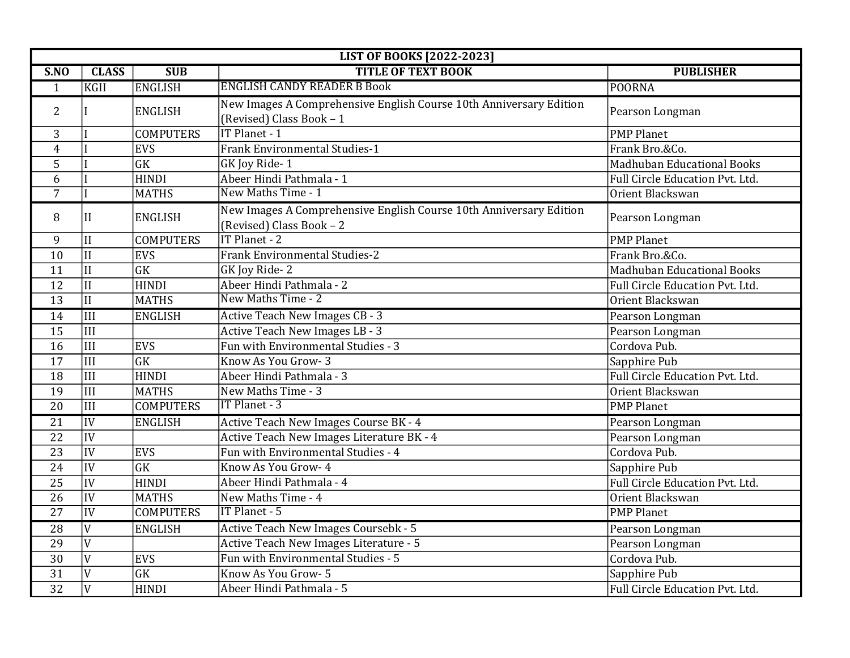| <b>LIST OF BOOKS [2022-2023]</b> |                         |                        |                                                                                                |                                   |
|----------------------------------|-------------------------|------------------------|------------------------------------------------------------------------------------------------|-----------------------------------|
| SNO                              | <b>CLASS</b>            | <b>SUB</b>             | <b>TITLE OF TEXT BOOK</b>                                                                      | <b>PUBLISHER</b>                  |
| $\mathbf{1}$                     | <b>KGII</b>             | <b>ENGLISH</b>         | <b>ENGLISH CANDY READER B Book</b>                                                             | <b>POORNA</b>                     |
| $\overline{2}$                   |                         | <b>ENGLISH</b>         | New Images A Comprehensive English Course 10th Anniversary Edition<br>(Revised) Class Book - 1 | Pearson Longman                   |
| 3                                |                         | <b>COMPUTERS</b>       | IT Planet - 1                                                                                  | <b>PMP Planet</b>                 |
| $\overline{4}$                   |                         | EVS                    | <b>Frank Environmental Studies-1</b>                                                           | Frank Bro.&Co.                    |
| 5                                |                         | $\overline{\text{GK}}$ | GK Joy Ride-1                                                                                  | <b>Madhuban Educational Books</b> |
| 6                                |                         | <b>HINDI</b>           | Abeer Hindi Pathmala - 1                                                                       | Full Circle Education Pvt. Ltd.   |
| $\overline{7}$                   |                         | <b>MATHS</b>           | New Maths Time - 1                                                                             | Orient Blackswan                  |
| 8                                | II                      | <b>ENGLISH</b>         | New Images A Comprehensive English Course 10th Anniversary Edition<br>(Revised) Class Book - 2 | Pearson Longman                   |
| 9                                | $\prod$                 | <b>COMPUTERS</b>       | IT Planet - 2                                                                                  | <b>PMP Planet</b>                 |
| 10                               | $\mathbf{I}$            | <b>EVS</b>             | <b>Frank Environmental Studies-2</b>                                                           | Frank Bro.&Co.                    |
| 11                               | $\overline{\rm II}$     | $\overline{\text{GK}}$ | GK Joy Ride-2                                                                                  | <b>Madhuban Educational Books</b> |
| $\overline{12}$                  | $\overline{\mathbf{H}}$ | <b>HINDI</b>           | Abeer Hindi Pathmala - 2                                                                       | Full Circle Education Pvt. Ltd.   |
| 13                               | $\overline{II}$         | <b>MATHS</b>           | New Maths Time - 2                                                                             | Orient Blackswan                  |
| 14                               | III                     | <b>ENGLISH</b>         | Active Teach New Images CB - 3                                                                 | Pearson Longman                   |
| 15                               | $\overline{\text{III}}$ |                        | Active Teach New Images LB - 3                                                                 | Pearson Longman                   |
| 16                               | $\overline{\text{III}}$ | EVS                    | Fun with Environmental Studies - 3                                                             | Cordova Pub.                      |
| 17                               | $\overline{\text{III}}$ | $\overline{\text{GK}}$ | Know As You Grow-3                                                                             | Sapphire Pub                      |
| 18                               | $\overline{\text{III}}$ | <b>HINDI</b>           | Abeer Hindi Pathmala - 3                                                                       | Full Circle Education Pvt. Ltd.   |
| 19                               | $\overline{III}$        | <b>MATHS</b>           | New Maths Time - 3                                                                             | Orient Blackswan                  |
| 20                               | $\overline{\text{III}}$ | <b>COMPUTERS</b>       | IT Planet - 3                                                                                  | <b>PMP Planet</b>                 |
| $\overline{21}$                  | IV                      | <b>ENGLISH</b>         | Active Teach New Images Course BK - 4                                                          | Pearson Longman                   |
| $\overline{22}$                  | $\overline{IV}$         |                        | Active Teach New Images Literature BK - 4                                                      | Pearson Longman                   |
| 23                               | IV                      | <b>EVS</b>             | Fun with Environmental Studies - 4                                                             | Cordova Pub.                      |
| 24                               | $\overline{IV}$         | $\overline{\text{GK}}$ | Know As You Grow- 4                                                                            | Sapphire Pub                      |
| $\overline{25}$                  | $\overline{IV}$         | <b>HINDI</b>           | Abeer Hindi Pathmala - 4                                                                       | Full Circle Education Pvt. Ltd.   |
| 26                               | IV                      | <b>MATHS</b>           | New Maths Time - 4                                                                             | Orient Blackswan                  |
| $\overline{27}$                  | IV                      | <b>COMPUTERS</b>       | IT Planet - 5                                                                                  | <b>PMP</b> Planet                 |
| $\overline{28}$                  | $\mathbf{V}$            | <b>ENGLISH</b>         | Active Teach New Images Coursebk - 5                                                           | Pearson Longman                   |
| 29                               | $\overline{V}$          |                        | Active Teach New Images Literature - 5                                                         | Pearson Longman                   |
| 30                               | V                       | <b>EVS</b>             | Fun with Environmental Studies - 5                                                             | Cordova Pub.                      |
| 31                               | $\overline{V}$          | GK                     | Know As You Grow- 5                                                                            | Sapphire Pub                      |
| $\overline{32}$                  | V                       | <b>HINDI</b>           | Abeer Hindi Pathmala - 5                                                                       | Full Circle Education Pvt. Ltd.   |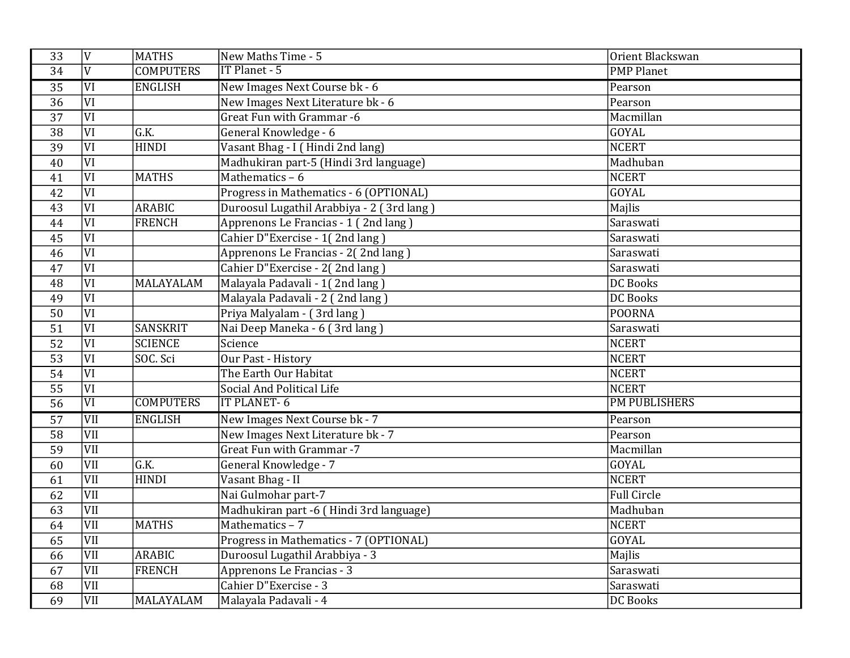| 33              | V                       | MATHS            | New Maths Time - 5                        | Orient Blackswan     |
|-----------------|-------------------------|------------------|-------------------------------------------|----------------------|
| 34              | $\overline{V}$          | <b>COMPUTERS</b> | IT Planet - 5                             | <b>PMP Planet</b>    |
| 35              | $\overline{VI}$         | <b>ENGLISH</b>   | New Images Next Course bk - 6             | Pearson              |
| $\overline{36}$ | $\overline{VI}$         |                  | New Images Next Literature bk - 6         | Pearson              |
| $\overline{37}$ | $\overline{VI}$         |                  | Great Fun with Grammar -6                 | Macmillan            |
| $\overline{38}$ | $\overline{\text{VI}}$  | G.K.             | General Knowledge - 6                     | <b>GOYAL</b>         |
| 39              | $\overline{VI}$         | <b>HINDI</b>     | Vasant Bhag - I (Hindi 2nd lang)          | <b>NCERT</b>         |
| 40              | $\overline{VI}$         |                  | Madhukiran part-5 (Hindi 3rd language)    | Madhuban             |
| 41              | $\overline{VI}$         | <b>MATHS</b>     | Mathematics $-6$                          | <b>NCERT</b>         |
| 42              | $\overline{VI}$         |                  | Progress in Mathematics - 6 (OPTIONAL)    | GOYAL                |
| 43              | $\overline{VI}$         | <b>ARABIC</b>    | Duroosul Lugathil Arabbiya - 2 (3rd lang) | Majlis               |
| 44              | $\overline{VI}$         | <b>FRENCH</b>    | Apprenons Le Francias - 1 (2nd lang)      | Saraswati            |
| $\overline{45}$ | $\overline{\text{VI}}$  |                  | Cahier D"Exercise - 1(2nd lang)           | Saraswati            |
| 46              | $\overline{VI}$         |                  | Apprenons Le Francias - 2(2nd lang)       | Saraswati            |
| $\overline{47}$ | $\overline{VI}$         |                  | Cahier D"Exercise - 2(2nd lang)           | Saraswati            |
| 48              | $\overline{VI}$         | MALAYALAM        | Malayala Padavali - 1(2nd lang)           | <b>DC Books</b>      |
| 49              | $\overline{\text{VI}}$  |                  | Malayala Padavali - 2 (2nd lang)          | <b>DC</b> Books      |
| 50              | $\overline{VI}$         |                  | Priya Malyalam - (3rd lang)               | <b>POORNA</b>        |
| $\overline{51}$ | $\overline{VI}$         | <b>SANSKRIT</b>  | Nai Deep Maneka - 6 (3rd lang)            | Saraswati            |
| $\overline{52}$ | $\overline{VI}$         | <b>SCIENCE</b>   | Science                                   | <b>NCERT</b>         |
| 53              | $\overline{VI}$         | SOC. Sci         | <b>Our Past - History</b>                 | <b>NCERT</b>         |
| 54              | $\overline{VI}$         |                  | The Earth Our Habitat                     | <b>NCERT</b>         |
| 55              | $\overline{VI}$         |                  | Social And Political Life                 | <b>NCERT</b>         |
| 56              | $\overline{VI}$         | <b>COMPUTERS</b> | <b>IT PLANET-6</b>                        | <b>PM PUBLISHERS</b> |
| $\overline{57}$ | VII                     | <b>ENGLISH</b>   | New Images Next Course bk - 7             | Pearson              |
| 58              | VII                     |                  | New Images Next Literature bk - 7         | Pearson              |
| 59              | VII                     |                  | <b>Great Fun with Grammar -7</b>          | Macmillan            |
| 60              | VII                     | G.K.             | General Knowledge - 7                     | <b>GOYAL</b>         |
| 61              | VII                     | <b>HINDI</b>     | Vasant Bhag - II                          | <b>NCERT</b>         |
| 62              | $\overline{\text{VII}}$ |                  | Nai Gulmohar part-7                       | <b>Full Circle</b>   |
| 63              | VII                     |                  | Madhukiran part -6 (Hindi 3rd language)   | Madhuban             |
| 64              | $\overline{\text{VII}}$ | <b>MATHS</b>     | Mathematics - 7                           | <b>NCERT</b>         |
| 65              | VII                     |                  | Progress in Mathematics - 7 (OPTIONAL)    | <b>GOYAL</b>         |
| 66              | VII                     | ARABIC           | Duroosul Lugathil Arabbiya - 3            | Majlis               |
| 67              | VII                     | <b>FRENCH</b>    | Apprenons Le Francias - 3                 | Saraswati            |
| 68              | $\overline{\text{VII}}$ |                  | Cahier D"Exercise - 3                     | Saraswati            |
| 69              | VII                     | MALAYALAM        | Malayala Padavali - 4                     | <b>DC Books</b>      |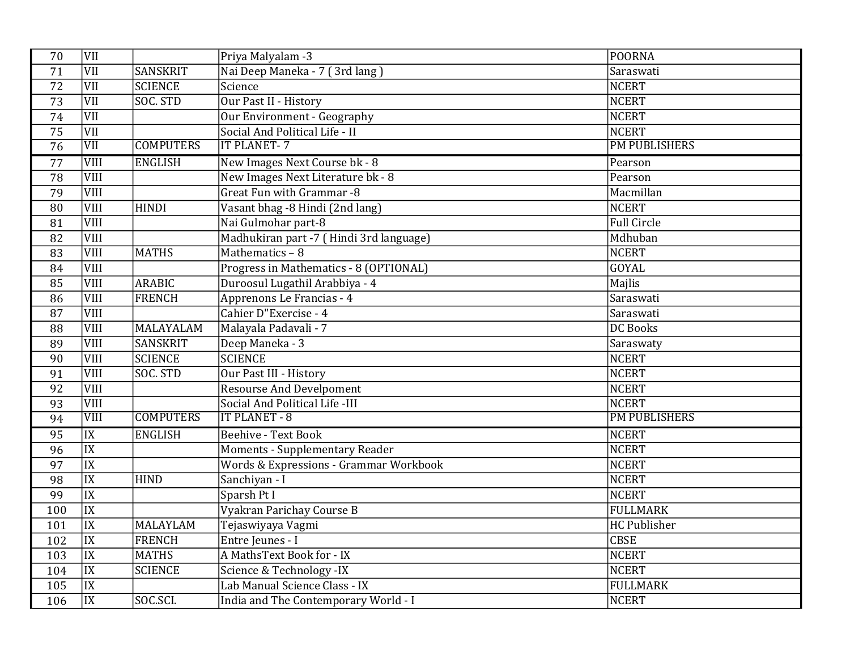| 70              | VII                    |                  | Priya Malyalam -3                       | <b>POORNA</b>        |
|-----------------|------------------------|------------------|-----------------------------------------|----------------------|
| 71              | <b>VII</b>             | <b>SANSKRIT</b>  | Nai Deep Maneka - 7 (3rd lang)          | Saraswati            |
| 72              | $\overline{VII}$       | <b>SCIENCE</b>   | Science                                 | <b>NCERT</b>         |
| 73              | VII                    | SOC. STD         | Our Past II - History                   | <b>NCERT</b>         |
| $\overline{74}$ | VII                    |                  | Our Environment - Geography             | <b>NCERT</b>         |
| 75              | VII                    |                  | Social And Political Life - II          | <b>NCERT</b>         |
| $\overline{76}$ | VII                    | <b>COMPUTERS</b> | <b>IT PLANET-7</b>                      | <b>PM PUBLISHERS</b> |
| $\overline{77}$ | VIII                   | <b>ENGLISH</b>   | New Images Next Course bk - 8           | Pearson              |
| 78              | VIII                   |                  | New Images Next Literature bk - 8       | Pearson              |
| 79              | VIII                   |                  | Great Fun with Grammar -8               | Macmillan            |
| 80              | VIII                   | <b>HINDI</b>     | Vasant bhag -8 Hindi (2nd lang)         | <b>NCERT</b>         |
| 81              | VIII                   |                  | Nai Gulmohar part-8                     | <b>Full Circle</b>   |
| 82              | VIII                   |                  | Madhukiran part -7 (Hindi 3rd language) | Mdhuban              |
| 83              | VIII                   | <b>MATHS</b>     | Mathematics - 8                         | <b>NCERT</b>         |
| 84              | VIII                   |                  | Progress in Mathematics - 8 (OPTIONAL)  | <b>GOYAL</b>         |
| 85              | VIII                   | ARABIC           | Duroosul Lugathil Arabbiya - 4          | Majlis               |
| 86              | <b>VIII</b>            | <b>FRENCH</b>    | Apprenons Le Francias - 4               | Saraswati            |
| 87              | VIII                   |                  | Cahier D"Exercise - 4                   | Saraswati            |
| 88              | VIII                   | MALAYALAM        | Malayala Padavali - 7                   | <b>DC</b> Books      |
| 89              | VIII                   | <b>SANSKRIT</b>  | Deep Maneka - 3                         | Saraswaty            |
| 90              | <b>VIII</b>            | <b>SCIENCE</b>   | <b>SCIENCE</b>                          | <b>NCERT</b>         |
| 91              | VIII                   | SOC. STD         | Our Past III - History                  | <b>NCERT</b>         |
| 92              | VIII                   |                  | <b>Resourse And Develpoment</b>         | <b>NCERT</b>         |
| 93              | <b>VIII</b>            |                  | Social And Political Life -III          | <b>NCERT</b>         |
| 94              | VIII                   | <b>COMPUTERS</b> | <b>IT PLANET - 8</b>                    | <b>PM PUBLISHERS</b> |
| 95              | $\overline{IX}$        | <b>ENGLISH</b>   | <b>Beehive - Text Book</b>              | <b>NCERT</b>         |
| 96              | $\overline{IX}$        |                  | <b>Moments - Supplementary Reader</b>   | <b>NCERT</b>         |
| 97              | $\overline{IX}$        |                  | Words & Expressions - Grammar Workbook  | <b>NCERT</b>         |
| 98              | $\overline{\text{IX}}$ | <b>HIND</b>      | Sanchiyan - I                           | <b>NCERT</b>         |
| 99              | $\overline{IX}$        |                  | Sparsh Pt I                             | <b>NCERT</b>         |
| 100             | IX                     |                  | Vyakran Parichay Course B               | <b>FULLMARK</b>      |
| 101             | $\overline{\text{IX}}$ | MALAYLAM         | Tejaswiyaya Vagmi                       | <b>HC Publisher</b>  |
| 102             | $\overline{IX}$        | <b>FRENCH</b>    | Entre Jeunes - I                        | <b>CBSE</b>          |
| 103             | $\overline{IX}$        | <b>MATHS</b>     | A MathsText Book for - IX               | <b>NCERT</b>         |
| 104             | $\overline{IX}$        | SCIENCE          | Science & Technology -IX                | <b>NCERT</b>         |
| 105             | $\overline{IX}$        |                  | Lab Manual Science Class - IX           | <b>FULLMARK</b>      |
| 106             | $\overline{\text{IX}}$ | SOC.SCI.         | India and The Contemporary World - I    | <b>NCERT</b>         |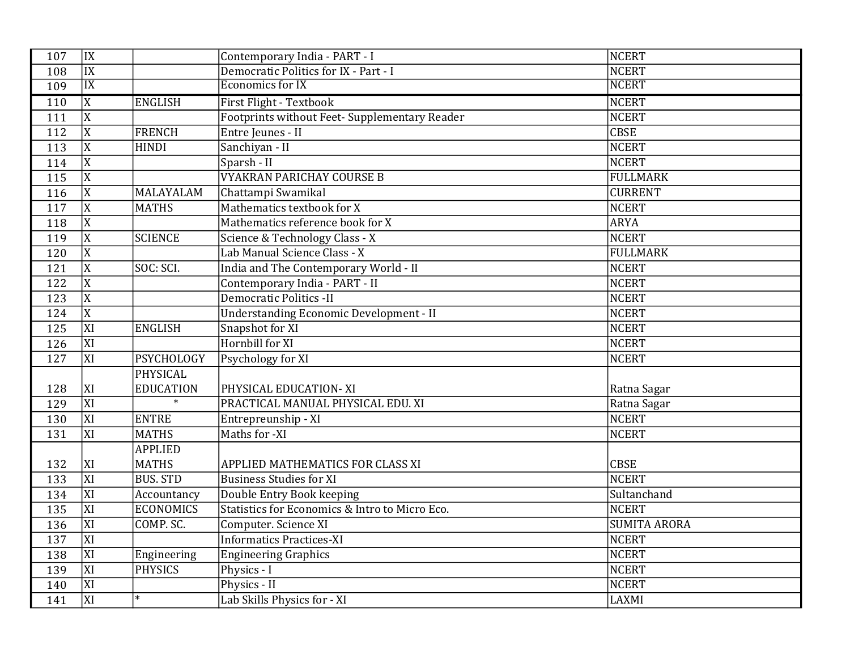| 107 | IX                     |                  | Contemporary India - PART - I                  | <b>NCERT</b>        |
|-----|------------------------|------------------|------------------------------------------------|---------------------|
| 108 | $\overline{IX}$        |                  | Democratic Politics for IX - Part - I          | <b>NCERT</b>        |
| 109 | $\overline{\text{IX}}$ |                  | <b>Economics for IX</b>                        | <b>NCERT</b>        |
| 110 | $\overline{X}$         | <b>ENGLISH</b>   | First Flight - Textbook                        | <b>NCERT</b>        |
| 111 | $\overline{X}$         |                  | Footprints without Feet- Supplementary Reader  | <b>NCERT</b>        |
| 112 | $\overline{\text{X}}$  | <b>FRENCH</b>    | Entre Jeunes - II                              | <b>CBSE</b>         |
| 113 | X                      | <b>HINDI</b>     | Sanchiyan - II                                 | <b>NCERT</b>        |
| 114 | X                      |                  | Sparsh - II                                    | <b>NCERT</b>        |
| 115 | X                      |                  | <b>VYAKRAN PARICHAY COURSE B</b>               | <b>FULLMARK</b>     |
| 116 | $\mathbf X$            | <b>MALAYALAM</b> | Chattampi Swamikal                             | <b>CURRENT</b>      |
| 117 | X                      | <b>MATHS</b>     | Mathematics textbook for X                     | <b>NCERT</b>        |
| 118 | X                      |                  | Mathematics reference book for X               | <b>ARYA</b>         |
| 119 | X                      | <b>SCIENCE</b>   | Science & Technology Class - X                 | <b>NCERT</b>        |
| 120 | X                      |                  | Lab Manual Science Class - X                   | <b>FULLMARK</b>     |
| 121 | X                      | SOC: SCI.        | India and The Contemporary World - II          | <b>NCERT</b>        |
| 122 | X                      |                  | Contemporary India - PART - II                 | <b>NCERT</b>        |
| 123 | X                      |                  | <b>Democratic Politics -II</b>                 | <b>NCERT</b>        |
| 124 | X                      |                  | <b>Understanding Economic Development - II</b> | <b>NCERT</b>        |
| 125 | XI                     | <b>ENGLISH</b>   | Snapshot for XI                                | <b>NCERT</b>        |
| 126 | XI                     |                  | Hornbill for XI                                | <b>NCERT</b>        |
| 127 | XI                     | PSYCHOLOGY       | Psychology for XI                              | <b>NCERT</b>        |
|     |                        | <b>PHYSICAL</b>  |                                                |                     |
| 128 | XI                     | <b>EDUCATION</b> | PHYSICAL EDUCATION-XI                          | Ratna Sagar         |
| 129 | XI                     |                  | PRACTICAL MANUAL PHYSICAL EDU. XI              | Ratna Sagar         |
| 130 | XI                     | <b>ENTRE</b>     | Entrepreunship - XI                            | <b>NCERT</b>        |
| 131 | XI                     | <b>MATHS</b>     | Maths for -XI                                  | <b>NCERT</b>        |
|     |                        | <b>APPLIED</b>   |                                                |                     |
| 132 | XI                     | <b>MATHS</b>     | APPLIED MATHEMATICS FOR CLASS XI               | <b>CBSE</b>         |
| 133 | $\overline{XI}$        | <b>BUS. STD</b>  | <b>Business Studies for XI</b>                 | <b>NCERT</b>        |
| 134 | XI                     | Accountancy      | Double Entry Book keeping                      | Sultanchand         |
| 135 | XI                     | <b>ECONOMICS</b> | Statistics for Economics & Intro to Micro Eco. | <b>NCERT</b>        |
| 136 | XI                     | COMP. SC.        | Computer. Science XI                           | <b>SUMITA ARORA</b> |
| 137 | $\overline{XI}$        |                  | <b>Informatics Practices-XI</b>                | <b>NCERT</b>        |
| 138 | XI                     | Engineering      | <b>Engineering Graphics</b>                    | <b>NCERT</b>        |
| 139 | $\overline{XI}$        | <b>PHYSICS</b>   | Physics - I                                    | <b>NCERT</b>        |
| 140 | $\overline{XI}$        |                  | Physics - II                                   | <b>NCERT</b>        |
| 141 | XI                     | $\ast$           | Lab Skills Physics for - XI                    | <b>LAXMI</b>        |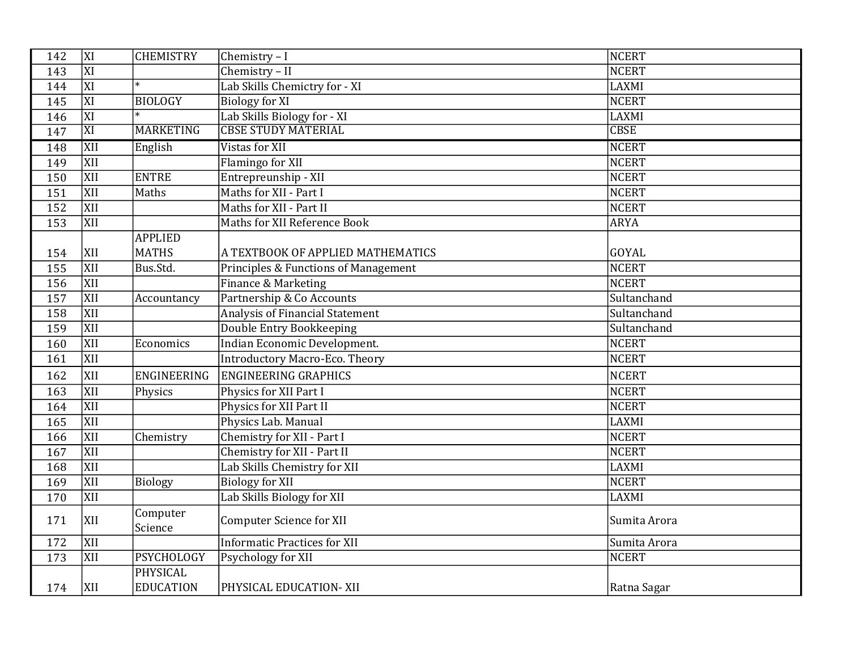| 142 | XI               | <b>CHEMISTRY</b>             | Chemistry - I                         | <b>NCERT</b> |
|-----|------------------|------------------------------|---------------------------------------|--------------|
| 143 | $\overline{XI}$  |                              | Chemistry - II                        | <b>NCERT</b> |
| 144 | $\overline{XI}$  | $\ast$                       | Lab Skills Chemictry for - XI         | <b>LAXMI</b> |
| 145 | XI               | <b>BIOLOGY</b>               | <b>Biology for XI</b>                 | <b>NCERT</b> |
| 146 | $\overline{XI}$  |                              | Lab Skills Biology for - XI           | <b>LAXMI</b> |
| 147 | XI               | <b>MARKETING</b>             | <b>CBSE STUDY MATERIAL</b>            | <b>CBSE</b>  |
| 148 | <b>XII</b>       | English                      | Vistas for XII                        | <b>NCERT</b> |
| 149 | <b>XII</b>       |                              | Flamingo for XII                      | <b>NCERT</b> |
| 150 | XII              | <b>ENTRE</b>                 | Entrepreunship - XII                  | <b>NCERT</b> |
| 151 | <b>XII</b>       | Maths                        | Maths for XII - Part I                | <b>NCERT</b> |
| 152 | <b>XII</b>       |                              | Maths for XII - Part II               | <b>NCERT</b> |
| 153 | XII              |                              | Maths for XII Reference Book          | <b>ARYA</b>  |
|     |                  | <b>APPLIED</b>               |                                       |              |
| 154 | XII              | <b>MATHS</b>                 | A TEXTBOOK OF APPLIED MATHEMATICS     | GOYAL        |
| 155 | $\overline{XII}$ | Bus.Std.                     | Principles & Functions of Management  | <b>NCERT</b> |
| 156 | XII              |                              | Finance & Marketing                   | <b>NCERT</b> |
| 157 | $\overline{XII}$ | Accountancy                  | Partnership & Co Accounts             | Sultanchand  |
| 158 | <b>XII</b>       |                              | Analysis of Financial Statement       | Sultanchand  |
| 159 | <b>XII</b>       |                              | Double Entry Bookkeeping              | Sultanchand  |
| 160 | <b>XII</b>       | Economics                    | Indian Economic Development.          | <b>NCERT</b> |
| 161 | <b>XII</b>       |                              | <b>Introductory Macro-Eco. Theory</b> | <b>NCERT</b> |
| 162 | XII              | <b>ENGINEERING</b>           | <b>ENGINEERING GRAPHICS</b>           | <b>NCERT</b> |
| 163 | <b>XII</b>       | Physics                      | Physics for XII Part I                | <b>NCERT</b> |
| 164 | $\overline{XII}$ |                              | Physics for XII Part II               | <b>NCERT</b> |
| 165 | <b>XII</b>       |                              | Physics Lab. Manual                   | LAXMI        |
| 166 | <b>XII</b>       | Chemistry                    | Chemistry for XII - Part I            | <b>NCERT</b> |
| 167 | XII              |                              | Chemistry for XII - Part II           | <b>NCERT</b> |
| 168 | <b>XII</b>       |                              | Lab Skills Chemistry for XII          | <b>LAXMI</b> |
| 169 | <b>XII</b>       | <b>Biology</b>               | <b>Biology for XII</b>                | <b>NCERT</b> |
| 170 | <b>XII</b>       |                              | Lab Skills Biology for XII            | LAXMI        |
| 171 | XII              | Computer<br>Science          | <b>Computer Science for XII</b>       | Sumita Arora |
| 172 | XII              |                              | <b>Informatic Practices for XII</b>   | Sumita Arora |
| 173 | XII              | <b>PSYCHOLOGY</b>            | Psychology for XII                    | <b>NCERT</b> |
| 174 | XII              | PHYSICAL<br><b>EDUCATION</b> | PHYSICAL EDUCATION- XII               | Ratna Sagar  |